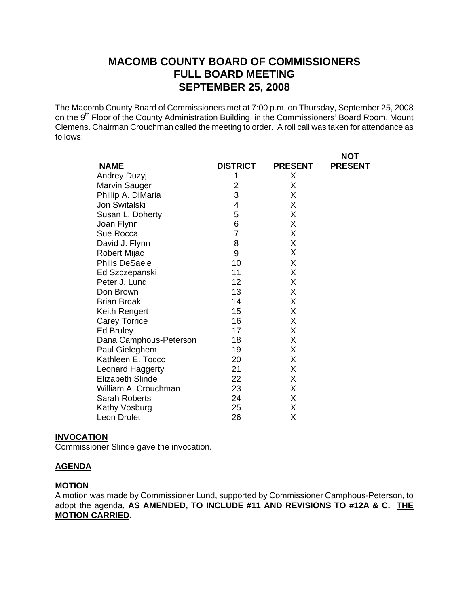# **MACOMB COUNTY BOARD OF COMMISSIONERS FULL BOARD MEETING SEPTEMBER 25, 2008**

The Macomb County Board of Commissioners met at 7:00 p.m. on Thursday, September 25, 2008 on the 9<sup>th</sup> Floor of the County Administration Building, in the Commissioners' Board Room, Mount Clemens. Chairman Crouchman called the meeting to order. A roll call was taken for attendance as follows:

| <b>NAME</b>             | <b>DISTRICT</b> | <b>PRESENT</b> | <b>NOT</b><br><b>PRESENT</b> |
|-------------------------|-----------------|----------------|------------------------------|
| <b>Andrey Duzyj</b>     | 1               | X              |                              |
| Marvin Sauger           | 2               | X              |                              |
| Phillip A. DiMaria      | 3               | X              |                              |
| Jon Switalski           | 4               | X              |                              |
| Susan L. Doherty        | 5               | X              |                              |
| Joan Flynn              | 6               | X              |                              |
| Sue Rocca               | $\overline{7}$  | X              |                              |
| David J. Flynn          | 8               | Χ              |                              |
| <b>Robert Mijac</b>     | 9               | Χ              |                              |
| <b>Philis DeSaele</b>   | 10              | X              |                              |
| Ed Szczepanski          | 11              | X              |                              |
| Peter J. Lund           | 12              | X              |                              |
| Don Brown               | 13              | X              |                              |
| <b>Brian Brdak</b>      | 14              | Χ              |                              |
| Keith Rengert           | 15              | X              |                              |
| <b>Carey Torrice</b>    | 16              | Χ              |                              |
| Ed Bruley               | 17              | Χ              |                              |
| Dana Camphous-Peterson  | 18              | Χ              |                              |
| Paul Gieleghem          | 19              | X              |                              |
| Kathleen E. Tocco       | 20              | X              |                              |
| Leonard Haggerty        | 21              | Χ              |                              |
| <b>Elizabeth Slinde</b> | 22              | X              |                              |
| William A. Crouchman    | 23              | Χ              |                              |
| Sarah Roberts           | 24              | Χ              |                              |
| Kathy Vosburg           | 25              | Χ              |                              |
| Leon Drolet             | 26              | Χ              |                              |

#### **INVOCATION**

Commissioner Slinde gave the invocation.

#### **AGENDA**

#### **MOTION**

A motion was made by Commissioner Lund, supported by Commissioner Camphous-Peterson, to adopt the agenda, **AS AMENDED, TO INCLUDE #11 AND REVISIONS TO #12A & C. THE MOTION CARRIED.**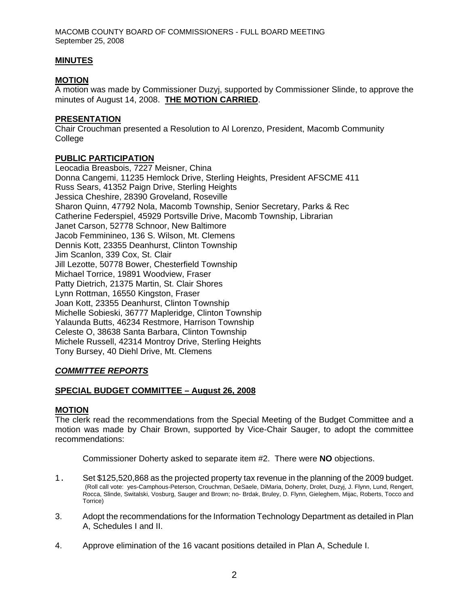### **MINUTES**

#### **MOTION**

A motion was made by Commissioner Duzyj, supported by Commissioner Slinde, to approve the minutes of August 14, 2008. **THE MOTION CARRIED**.

#### **PRESENTATION**

Chair Crouchman presented a Resolution to Al Lorenzo, President, Macomb Community College

#### **PUBLIC PARTICIPATION**

Leocadia Breasbois, 7227 Meisner, China Donna Cangemi, 11235 Hemlock Drive, Sterling Heights, President AFSCME 411 Russ Sears, 41352 Paign Drive, Sterling Heights Jessica Cheshire, 28390 Groveland, Roseville Sharon Quinn, 47792 Nola, Macomb Township, Senior Secretary, Parks & Rec Catherine Federspiel, 45929 Portsville Drive, Macomb Township, Librarian Janet Carson, 52778 Schnoor, New Baltimore Jacob Femminineo, 136 S. Wilson, Mt. Clemens Dennis Kott, 23355 Deanhurst, Clinton Township Jim Scanlon, 339 Cox, St. Clair Jill Lezotte, 50778 Bower, Chesterfield Township Michael Torrice, 19891 Woodview, Fraser Patty Dietrich, 21375 Martin, St. Clair Shores Lynn Rottman, 16550 Kingston, Fraser Joan Kott, 23355 Deanhurst, Clinton Township Michelle Sobieski, 36777 Mapleridge, Clinton Township Yalaunda Butts, 46234 Restmore, Harrison Township Celeste O, 38638 Santa Barbara, Clinton Township Michele Russell, 42314 Montroy Drive, Sterling Heights Tony Bursey, 40 Diehl Drive, Mt. Clemens

### *COMMITTEE REPORTS*

### **SPECIAL BUDGET COMMITTEE – August 26, 2008**

#### **MOTION**

The clerk read the recommendations from the Special Meeting of the Budget Committee and a motion was made by Chair Brown, supported by Vice-Chair Sauger, to adopt the committee recommendations:

Commissioner Doherty asked to separate item #2. There were **NO** objections.

- 1. Set \$125,520,868 as the projected property tax revenue in the planning of the 2009 budget. (Roll call vote: yes-Camphous-Peterson, Crouchman, DeSaele, DiMaria, Doherty, Drolet, Duzyj, J. Flynn, Lund, Rengert, Rocca, Slinde, Switalski, Vosburg, Sauger and Brown; no- Brdak, Bruley, D. Flynn, Gieleghem, Mijac, Roberts, Tocco and Torrice)
- 3. Adopt the recommendations for the Information Technology Department as detailed in Plan A, Schedules I and II.
- 4. Approve elimination of the 16 vacant positions detailed in Plan A, Schedule I.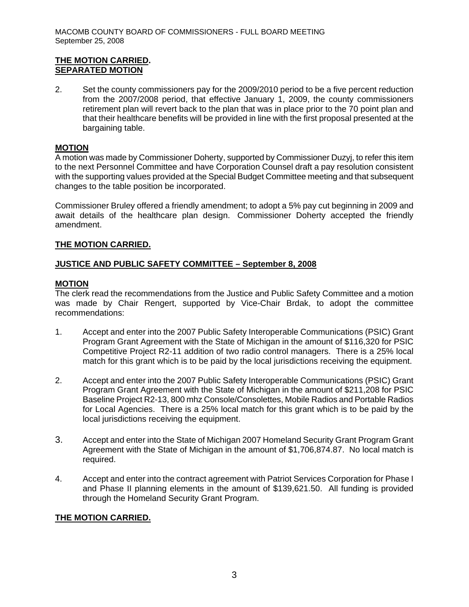## **THE MOTION CARRIED. SEPARATED MOTION**

2. Set the county commissioners pay for the 2009/2010 period to be a five percent reduction from the 2007/2008 period, that effective January 1, 2009, the county commissioners retirement plan will revert back to the plan that was in place prior to the 70 point plan and that their healthcare benefits will be provided in line with the first proposal presented at the bargaining table.

## **MOTION**

A motion was made by Commissioner Doherty, supported by Commissioner Duzyj, to refer this item to the next Personnel Committee and have Corporation Counsel draft a pay resolution consistent with the supporting values provided at the Special Budget Committee meeting and that subsequent changes to the table position be incorporated.

Commissioner Bruley offered a friendly amendment; to adopt a 5% pay cut beginning in 2009 and await details of the healthcare plan design. Commissioner Doherty accepted the friendly amendment.

## **THE MOTION CARRIED.**

## **JUSTICE AND PUBLIC SAFETY COMMITTEE – September 8, 2008**

## **MOTION**

The clerk read the recommendations from the Justice and Public Safety Committee and a motion was made by Chair Rengert, supported by Vice-Chair Brdak, to adopt the committee recommendations:

- 1. Accept and enter into the 2007 Public Safety Interoperable Communications (PSIC) Grant Program Grant Agreement with the State of Michigan in the amount of \$116,320 for PSIC Competitive Project R2-11 addition of two radio control managers. There is a 25% local match for this grant which is to be paid by the local jurisdictions receiving the equipment.
- 2. Accept and enter into the 2007 Public Safety Interoperable Communications (PSIC) Grant Program Grant Agreement with the State of Michigan in the amount of \$211,208 for PSIC Baseline Project R2-13, 800 mhz Console/Consolettes, Mobile Radios and Portable Radios for Local Agencies. There is a 25% local match for this grant which is to be paid by the local jurisdictions receiving the equipment.
- 3. Accept and enter into the State of Michigan 2007 Homeland Security Grant Program Grant Agreement with the State of Michigan in the amount of \$1,706,874.87. No local match is required.
- 4. Accept and enter into the contract agreement with Patriot Services Corporation for Phase I and Phase II planning elements in the amount of \$139,621.50. All funding is provided through the Homeland Security Grant Program.

### **THE MOTION CARRIED.**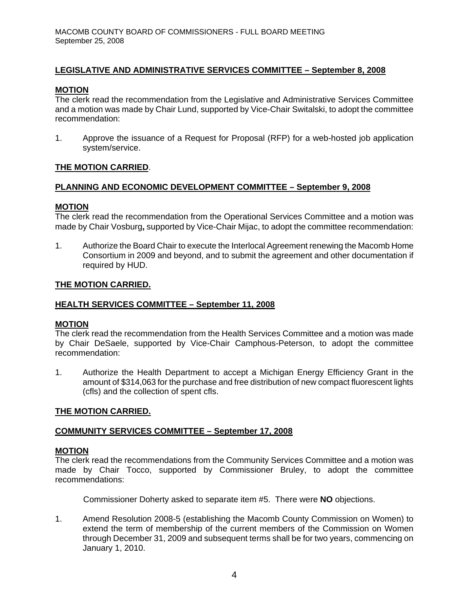## **LEGISLATIVE AND ADMINISTRATIVE SERVICES COMMITTEE – September 8, 2008**

#### **MOTION**

The clerk read the recommendation from the Legislative and Administrative Services Committee and a motion was made by Chair Lund, supported by Vice-Chair Switalski, to adopt the committee recommendation:

1. Approve the issuance of a Request for Proposal (RFP) for a web-hosted job application system/service.

### **THE MOTION CARRIED**.

#### **PLANNING AND ECONOMIC DEVELOPMENT COMMITTEE – September 9, 2008**

#### **MOTION**

The clerk read the recommendation from the Operational Services Committee and a motion was made by Chair Vosburg**,** supported by Vice-Chair Mijac, to adopt the committee recommendation:

1. Authorize the Board Chair to execute the Interlocal Agreement renewing the Macomb Home Consortium in 2009 and beyond, and to submit the agreement and other documentation if required by HUD.

#### **THE MOTION CARRIED.**

#### **HEALTH SERVICES COMMITTEE – September 11, 2008**

#### **MOTION**

The clerk read the recommendation from the Health Services Committee and a motion was made by Chair DeSaele, supported by Vice-Chair Camphous-Peterson, to adopt the committee recommendation:

1. Authorize the Health Department to accept a Michigan Energy Efficiency Grant in the amount of \$314,063 for the purchase and free distribution of new compact fluorescent lights (cfls) and the collection of spent cfls.

#### **THE MOTION CARRIED.**

#### **COMMUNITY SERVICES COMMITTEE – September 17, 2008**

#### **MOTION**

The clerk read the recommendations from the Community Services Committee and a motion was made by Chair Tocco, supported by Commissioner Bruley, to adopt the committee recommendations:

Commissioner Doherty asked to separate item #5. There were **NO** objections.

1. Amend Resolution 2008-5 (establishing the Macomb County Commission on Women) to extend the term of membership of the current members of the Commission on Women through December 31, 2009 and subsequent terms shall be for two years, commencing on January 1, 2010.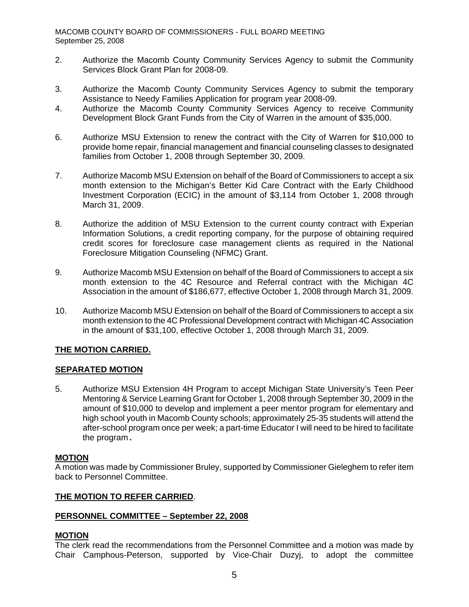- 2. Authorize the Macomb County Community Services Agency to submit the Community Services Block Grant Plan for 2008-09.
- 3. Authorize the Macomb County Community Services Agency to submit the temporary Assistance to Needy Families Application for program year 2008-09.
- 4. Authorize the Macomb County Community Services Agency to receive Community Development Block Grant Funds from the City of Warren in the amount of \$35,000.
- 6. Authorize MSU Extension to renew the contract with the City of Warren for \$10,000 to provide home repair, financial management and financial counseling classes to designated families from October 1, 2008 through September 30, 2009.
- 7. Authorize Macomb MSU Extension on behalf of the Board of Commissioners to accept a six month extension to the Michigan's Better Kid Care Contract with the Early Childhood Investment Corporation (ECIC) in the amount of \$3,114 from October 1, 2008 through March 31, 2009.
- 8. Authorize the addition of MSU Extension to the current county contract with Experian Information Solutions, a credit reporting company, for the purpose of obtaining required credit scores for foreclosure case management clients as required in the National Foreclosure Mitigation Counseling (NFMC) Grant.
- 9. Authorize Macomb MSU Extension on behalf of the Board of Commissioners to accept a six month extension to the 4C Resource and Referral contract with the Michigan 4C Association in the amount of \$186,677, effective October 1, 2008 through March 31, 2009.
- 10. Authorize Macomb MSU Extension on behalf of the Board of Commissioners to accept a six month extension to the 4C Professional Development contract with Michigan 4C Association in the amount of \$31,100, effective October 1, 2008 through March 31, 2009.

## **THE MOTION CARRIED.**

### **SEPARATED MOTION**

5. Authorize MSU Extension 4H Program to accept Michigan State University's Teen Peer Mentoring & Service Learning Grant for October 1, 2008 through September 30, 2009 in the amount of \$10,000 to develop and implement a peer mentor program for elementary and high school youth in Macomb County schools; approximately 25-35 students will attend the after-school program once per week; a part-time Educator I will need to be hired to facilitate the program**.** 

#### **MOTION**

A motion was made by Commissioner Bruley, supported by Commissioner Gieleghem to refer item back to Personnel Committee.

### **THE MOTION TO REFER CARRIED**.

#### **PERSONNEL COMMITTEE – September 22, 2008**

### **MOTION**

The clerk read the recommendations from the Personnel Committee and a motion was made by Chair Camphous-Peterson, supported by Vice-Chair Duzyj, to adopt the committee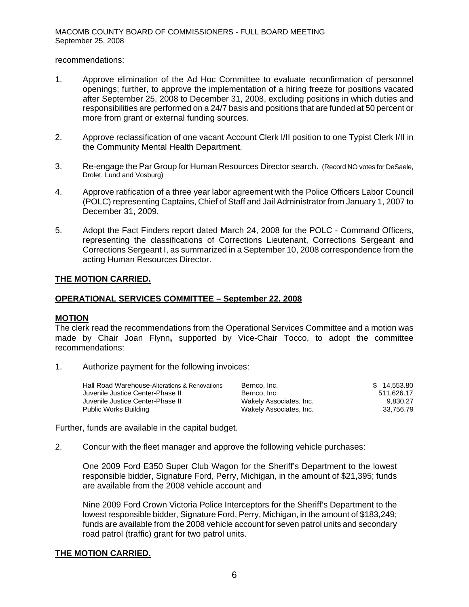#### recommendations:

- 1. Approve elimination of the Ad Hoc Committee to evaluate reconfirmation of personnel openings; further, to approve the implementation of a hiring freeze for positions vacated after September 25, 2008 to December 31, 2008, excluding positions in which duties and responsibilities are performed on a 24/7 basis and positions that are funded at 50 percent or more from grant or external funding sources.
- 2. Approve reclassification of one vacant Account Clerk I/II position to one Typist Clerk I/II in the Community Mental Health Department.
- 3. Re-engage the Par Group for Human Resources Director search. (Record NO votes for DeSaele, Drolet, Lund and Vosburg)
- 4. Approve ratification of a three year labor agreement with the Police Officers Labor Council (POLC) representing Captains, Chief of Staff and Jail Administrator from January 1, 2007 to December 31, 2009.
- 5. Adopt the Fact Finders report dated March 24, 2008 for the POLC Command Officers, representing the classifications of Corrections Lieutenant, Corrections Sergeant and Corrections Sergeant I, as summarized in a September 10, 2008 correspondence from the acting Human Resources Director.

#### **THE MOTION CARRIED.**

#### **OPERATIONAL SERVICES COMMITTEE – September 22, 2008**

#### **MOTION**

The clerk read the recommendations from the Operational Services Committee and a motion was made by Chair Joan Flynn**,** supported by Vice-Chair Tocco, to adopt the committee recommendations:

1. Authorize payment for the following invoices:

| Hall Road Warehouse-Alterations & Renovations | Bernco, Inc.            | \$14.553.80 |
|-----------------------------------------------|-------------------------|-------------|
| Juvenile Justice Center-Phase II              | Bernco, Inc.            | 511.626.17  |
| Juvenile Justice Center-Phase II              | Wakely Associates, Inc. | 9.830.27    |
| Public Works Building                         | Wakely Associates, Inc. | 33.756.79   |

Further, funds are available in the capital budget.

2. Concur with the fleet manager and approve the following vehicle purchases:

One 2009 Ford E350 Super Club Wagon for the Sheriff's Department to the lowest responsible bidder, Signature Ford, Perry, Michigan, in the amount of \$21,395; funds are available from the 2008 vehicle account and

Nine 2009 Ford Crown Victoria Police Interceptors for the Sheriff's Department to the lowest responsible bidder, Signature Ford, Perry, Michigan, in the amount of \$183,249; funds are available from the 2008 vehicle account for seven patrol units and secondary road patrol (traffic) grant for two patrol units.

#### **THE MOTION CARRIED.**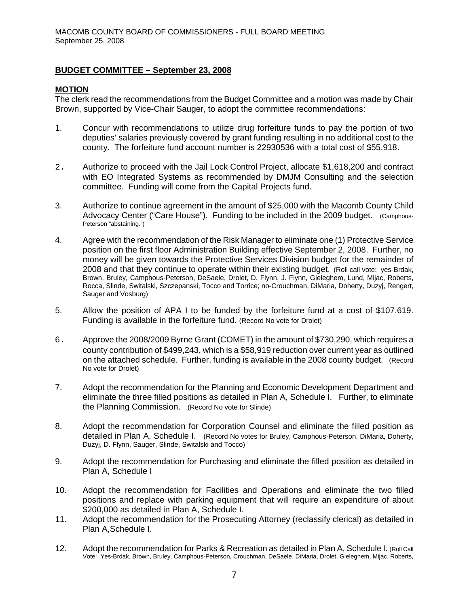#### **BUDGET COMMITTEE – September 23, 2008**

#### **MOTION**

The clerk read the recommendations from the Budget Committee and a motion was made by Chair Brown, supported by Vice-Chair Sauger, to adopt the committee recommendations:

- 1. Concur with recommendations to utilize drug forfeiture funds to pay the portion of two deputies' salaries previously covered by grant funding resulting in no additional cost to the county. The forfeiture fund account number is 22930536 with a total cost of \$55,918.
- 2. Authorize to proceed with the Jail Lock Control Project, allocate \$1,618,200 and contract with EO Integrated Systems as recommended by DMJM Consulting and the selection committee. Funding will come from the Capital Projects fund.
- 3. Authorize to continue agreement in the amount of \$25,000 with the Macomb County Child Advocacy Center ("Care House"). Funding to be included in the 2009 budget. (Camphous-Peterson "abstaining.")
- 4. Agree with the recommendation of the Risk Manager to eliminate one (1) Protective Service position on the first floor Administration Building effective September 2, 2008. Further, no money will be given towards the Protective Services Division budget for the remainder of 2008 and that they continue to operate within their existing budget. (Roll call vote: yes-Brdak, Brown, Bruley, Camphous-Peterson, DeSaele, Drolet, D. Flynn, J. Flynn, Gieleghem, Lund, Mijac, Roberts, Rocca, Slinde, Switalski, Szczepanski, Tocco and Torrice; no-Crouchman, DiMaria, Doherty, Duzyj, Rengert, Sauger and Vosburg)
- 5. Allow the position of APA I to be funded by the forfeiture fund at a cost of \$107,619. Funding is available in the forfeiture fund. (Record No vote for Drolet)
- 6. Approve the 2008/2009 Byrne Grant (COMET) in the amount of \$730,290, which requires a county contribution of \$499,243, which is a \$58,919 reduction over current year as outlined on the attached schedule. Further, funding is available in the 2008 county budget. (Record No vote for Drolet)
- 7. Adopt the recommendation for the Planning and Economic Development Department and eliminate the three filled positions as detailed in Plan A, Schedule I. Further, to eliminate the Planning Commission. (Record No vote for Slinde)
- 8. Adopt the recommendation for Corporation Counsel and eliminate the filled position as detailed in Plan A, Schedule I. (Record No votes for Bruley, Camphous-Peterson, DiMaria, Doherty, Duzyj, D. Flynn, Sauger, Slinde, Switalski and Tocco)
- 9. Adopt the recommendation for Purchasing and eliminate the filled position as detailed in Plan A, Schedule I
- 10. Adopt the recommendation for Facilities and Operations and eliminate the two filled positions and replace with parking equipment that will require an expenditure of about \$200,000 as detailed in Plan A, Schedule I.
- 11. Adopt the recommendation for the Prosecuting Attorney (reclassify clerical) as detailed in Plan A,Schedule I.
- 12. Adopt the recommendation for Parks & Recreation as detailed in Plan A, Schedule I, (Roll Call) Vote: Yes-Brdak, Brown, Bruley, Camphous-Peterson, Crouchman, DeSaele, DiMaria, Drolet, Gieleghem, Mijac, Roberts,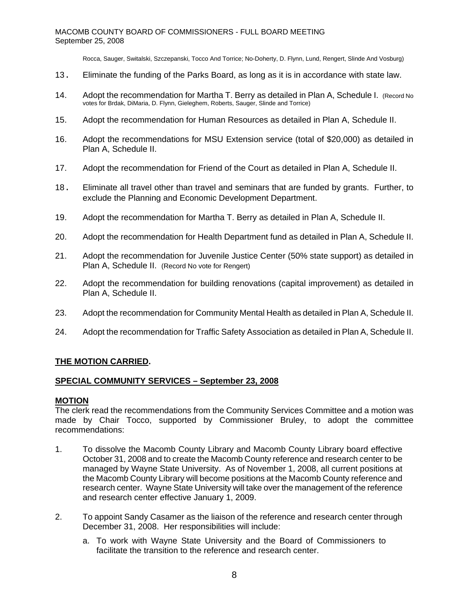Rocca, Sauger, Switalski, Szczepanski, Tocco And Torrice; No-Doherty, D. Flynn, Lund, Rengert, Slinde And Vosburg)

- 13. Eliminate the funding of the Parks Board, as long as it is in accordance with state law.
- 14. Adopt the recommendation for Martha T. Berry as detailed in Plan A. Schedule I. (Record No votes for Brdak, DiMaria, D. Flynn, Gieleghem, Roberts, Sauger, Slinde and Torrice)
- 15. Adopt the recommendation for Human Resources as detailed in Plan A, Schedule II.
- 16. Adopt the recommendations for MSU Extension service (total of \$20,000) as detailed in Plan A, Schedule II.
- 17. Adopt the recommendation for Friend of the Court as detailed in Plan A, Schedule II.
- 18. Eliminate all travel other than travel and seminars that are funded by grants. Further, to exclude the Planning and Economic Development Department.
- 19. Adopt the recommendation for Martha T. Berry as detailed in Plan A, Schedule II.
- 20. Adopt the recommendation for Health Department fund as detailed in Plan A, Schedule II.
- 21. Adopt the recommendation for Juvenile Justice Center (50% state support) as detailed in Plan A, Schedule II. (Record No vote for Rengert)
- 22. Adopt the recommendation for building renovations (capital improvement) as detailed in Plan A, Schedule II.
- 23. Adopt the recommendation for Community Mental Health as detailed in Plan A, Schedule II.
- 24. Adopt the recommendation for Traffic Safety Association as detailed in Plan A, Schedule II.

### **THE MOTION CARRIED.**

#### **SPECIAL COMMUNITY SERVICES – September 23, 2008**

#### **MOTION**

The clerk read the recommendations from the Community Services Committee and a motion was made by Chair Tocco, supported by Commissioner Bruley, to adopt the committee recommendations:

- 1. To dissolve the Macomb County Library and Macomb County Library board effective October 31, 2008 and to create the Macomb County reference and research center to be managed by Wayne State University. As of November 1, 2008, all current positions at the Macomb County Library will become positions at the Macomb County reference and research center. Wayne State University will take over the management of the reference and research center effective January 1, 2009.
- 2. To appoint Sandy Casamer as the liaison of the reference and research center through December 31, 2008. Her responsibilities will include:
	- a. To work with Wayne State University and the Board of Commissioners to facilitate the transition to the reference and research center.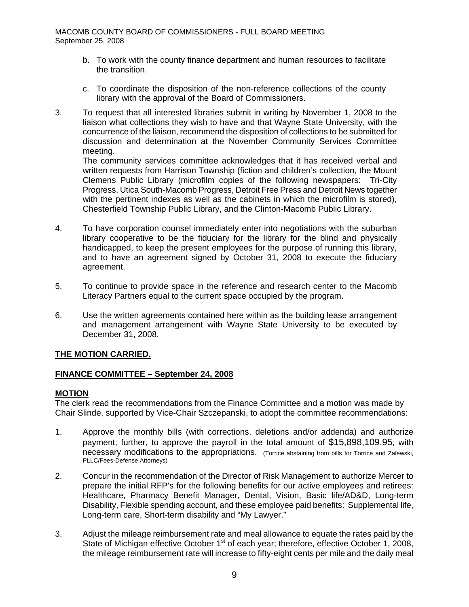- b. To work with the county finance department and human resources to facilitate the transition.
- c. To coordinate the disposition of the non-reference collections of the county library with the approval of the Board of Commissioners.
- 3. To request that all interested libraries submit in writing by November 1, 2008 to the liaison what collections they wish to have and that Wayne State University, with the concurrence of the liaison, recommend the disposition of collections to be submitted for discussion and determination at the November Community Services Committee meeting.

The community services committee acknowledges that it has received verbal and written requests from Harrison Township (fiction and children's collection, the Mount Clemens Public Library (microfilm copies of the following newspapers: Tri-City Progress, Utica South-Macomb Progress, Detroit Free Press and Detroit News together with the pertinent indexes as well as the cabinets in which the microfilm is stored), Chesterfield Township Public Library, and the Clinton-Macomb Public Library.

- 4. To have corporation counsel immediately enter into negotiations with the suburban library cooperative to be the fiduciary for the library for the blind and physically handicapped, to keep the present employees for the purpose of running this library, and to have an agreement signed by October 31, 2008 to execute the fiduciary agreement.
- 5. To continue to provide space in the reference and research center to the Macomb Literacy Partners equal to the current space occupied by the program.
- 6. Use the written agreements contained here within as the building lease arrangement and management arrangement with Wayne State University to be executed by December 31, 2008.

## **THE MOTION CARRIED.**

### **FINANCE COMMITTEE – September 24, 2008**

### **MOTION**

The clerk read the recommendations from the Finance Committee and a motion was made by Chair Slinde, supported by Vice-Chair Szczepanski, to adopt the committee recommendations:

- 1. Approve the monthly bills (with corrections, deletions and/or addenda) and authorize payment; further, to approve the payroll in the total amount of \$15,898,109.95, with necessary modifications to the appropriations. (Torrice abstaining from bills for Torrice and Zalewski, PLLC/Fees-Defense Attorneys)
- 2. Concur in the recommendation of the Director of Risk Management to authorize Mercer to prepare the initial RFP's for the following benefits for our active employees and retirees: Healthcare, Pharmacy Benefit Manager, Dental, Vision, Basic life/AD&D, Long-term Disability, Flexible spending account, and these employee paid benefits: Supplemental life, Long-term care, Short-term disability and "My Lawyer."
- 3. Adjust the mileage reimbursement rate and meal allowance to equate the rates paid by the State of Michigan effective October  $1<sup>st</sup>$  of each year; therefore, effective October 1, 2008, the mileage reimbursement rate will increase to fifty-eight cents per mile and the daily meal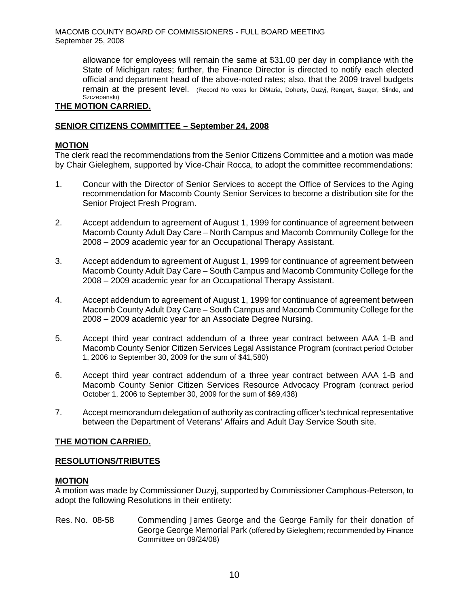> allowance for employees will remain the same at \$31.00 per day in compliance with the State of Michigan rates; further, the Finance Director is directed to notify each elected official and department head of the above-noted rates; also, that the 2009 travel budgets remain at the present level. (Record No votes for DiMaria, Doherty, Duzyj, Rengert, Sauger, Slinde, and Szczepanski)

## **THE MOTION CARRIED.**

## **SENIOR CITIZENS COMMITTEE – September 24, 2008**

## **MOTION**

The clerk read the recommendations from the Senior Citizens Committee and a motion was made by Chair Gieleghem, supported by Vice-Chair Rocca, to adopt the committee recommendations:

- 1. Concur with the Director of Senior Services to accept the Office of Services to the Aging recommendation for Macomb County Senior Services to become a distribution site for the Senior Project Fresh Program.
- 2. Accept addendum to agreement of August 1, 1999 for continuance of agreement between Macomb County Adult Day Care – North Campus and Macomb Community College for the 2008 – 2009 academic year for an Occupational Therapy Assistant.
- 3. Accept addendum to agreement of August 1, 1999 for continuance of agreement between Macomb County Adult Day Care – South Campus and Macomb Community College for the 2008 – 2009 academic year for an Occupational Therapy Assistant.
- 4. Accept addendum to agreement of August 1, 1999 for continuance of agreement between Macomb County Adult Day Care – South Campus and Macomb Community College for the 2008 – 2009 academic year for an Associate Degree Nursing.
- 5. Accept third year contract addendum of a three year contract between AAA 1-B and Macomb County Senior Citizen Services Legal Assistance Program (contract period October 1, 2006 to September 30, 2009 for the sum of \$41,580)
- 6. Accept third year contract addendum of a three year contract between AAA 1-B and Macomb County Senior Citizen Services Resource Advocacy Program (contract period October 1, 2006 to September 30, 2009 for the sum of \$69,438)
- 7. Accept memorandum delegation of authority as contracting officer's technical representative between the Department of Veterans' Affairs and Adult Day Service South site.

### **THE MOTION CARRIED.**

### **RESOLUTIONS/TRIBUTES**

### **MOTION**

A motion was made by Commissioner Duzyj, supported by Commissioner Camphous-Peterson, to adopt the following Resolutions in their entirety:

Res. No. 08-58 Commending James George and the George Family for their donation of George George Memorial Park (offered by Gieleghem; recommended by Finance Committee on 09/24/08)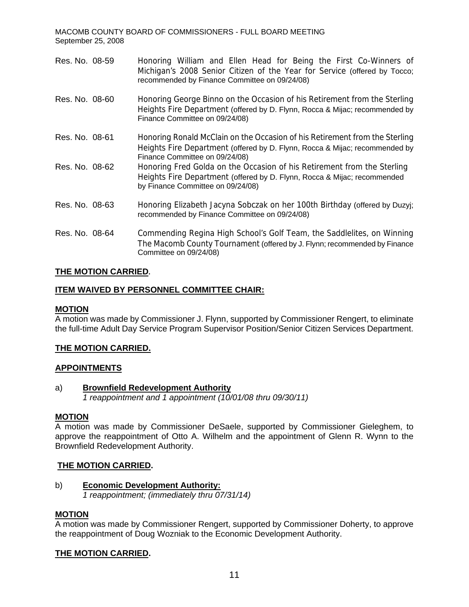| Res. No. 08-59 | Honoring William and Ellen Head for Being the First Co-Winners of<br>Michigan's 2008 Senior Citizen of the Year for Service (offered by Tocco;<br>recommended by Finance Committee on 09/24/08) |
|----------------|-------------------------------------------------------------------------------------------------------------------------------------------------------------------------------------------------|
| Res. No. 08-60 | Honoring George Binno on the Occasion of his Retirement from the Sterling<br>Heights Fire Department (offered by D. Flynn, Rocca & Mijac; recommended by<br>Finance Committee on 09/24/08)      |
| Res. No. 08-61 | Honoring Ronald McClain on the Occasion of his Retirement from the Sterling<br>Heights Fire Department (offered by D. Flynn, Rocca & Mijac; recommended by<br>Finance Committee on 09/24/08)    |
| Res. No. 08-62 | Honoring Fred Golda on the Occasion of his Retirement from the Sterling<br>Heights Fire Department (offered by D. Flynn, Rocca & Mijac; recommended<br>by Finance Committee on 09/24/08)        |
| Res. No. 08-63 | Honoring Elizabeth Jacyna Sobczak on her 100th Birthday (offered by Duzyi;<br>recommended by Finance Committee on 09/24/08)                                                                     |
| Res. No. 08-64 | Commending Regina High School's Golf Team, the Saddlelites, on Winning<br>The Macomb County Tournament (offered by J. Flynn; recommended by Finance<br>Committee on 09/24/08)                   |

### **THE MOTION CARRIED.**

### **ITEM WAIVED BY PERSONNEL COMMITTEE CHAIR:**

### **MOTION**

A motion was made by Commissioner J. Flynn, supported by Commissioner Rengert, to eliminate the full-time Adult Day Service Program Supervisor Position/Senior Citizen Services Department.

### **THE MOTION CARRIED.**

### **APPOINTMENTS**

a) **Brownfield Redevelopment Authority**  *1 reappointment and 1 appointment (10/01/08 thru 09/30/11)* 

### **MOTION**

A motion was made by Commissioner DeSaele, supported by Commissioner Gieleghem, to approve the reappointment of Otto A. Wilhelm and the appointment of Glenn R. Wynn to the Brownfield Redevelopment Authority.

### **THE MOTION CARRIED.**

### b) **Economic Development Authority:**

*1 reappointment; (immediately thru 07/31/14)* 

### **MOTION**

A motion was made by Commissioner Rengert, supported by Commissioner Doherty, to approve the reappointment of Doug Wozniak to the Economic Development Authority.

### **THE MOTION CARRIED.**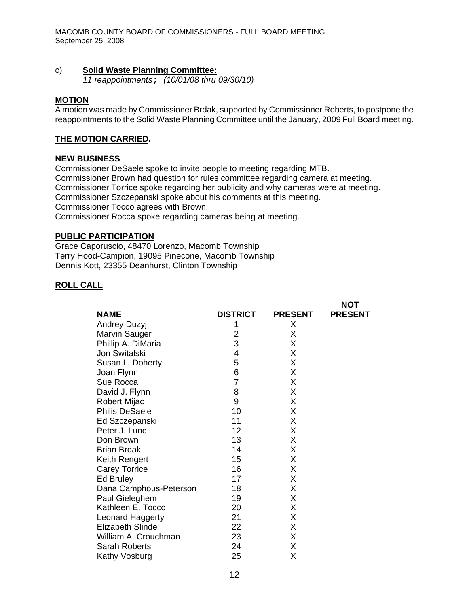#### c) **Solid Waste Planning Committee:**

*11 reappointments*; *(10/01/08 thru 09/30/10)* 

#### **MOTION**

A motion was made by Commissioner Brdak, supported by Commissioner Roberts, to postpone the reappointments to the Solid Waste Planning Committee until the January, 2009 Full Board meeting.

### **THE MOTION CARRIED.**

#### **NEW BUSINESS**

Commissioner DeSaele spoke to invite people to meeting regarding MTB. Commissioner Brown had question for rules committee regarding camera at meeting. Commissioner Torrice spoke regarding her publicity and why cameras were at meeting. Commissioner Szczepanski spoke about his comments at this meeting. Commissioner Tocco agrees with Brown. Commissioner Rocca spoke regarding cameras being at meeting.

### **PUBLIC PARTICIPATION**

Grace Caporuscio, 48470 Lorenzo, Macomb Township Terry Hood-Campion, 19095 Pinecone, Macomb Township Dennis Kott, 23355 Deanhurst, Clinton Township

## **ROLL CALL**

|                         |                 |                | <b>NOT</b>     |
|-------------------------|-----------------|----------------|----------------|
| <b>NAME</b>             | <b>DISTRICT</b> | <b>PRESENT</b> | <b>PRESENT</b> |
| Andrey Duzyj            | 1               | X              |                |
| Marvin Sauger           | 2               | X              |                |
| Phillip A. DiMaria      | 3               | X              |                |
| Jon Switalski           | 4               | X              |                |
| Susan L. Doherty        | 5               | Χ              |                |
| Joan Flynn              | 6               | X              |                |
| Sue Rocca               | $\overline{7}$  | X              |                |
| David J. Flynn          | 8               | X              |                |
| <b>Robert Mijac</b>     | 9               | X              |                |
| <b>Philis DeSaele</b>   | 10              | X              |                |
| Ed Szczepanski          | 11              | X              |                |
| Peter J. Lund           | 12              | X              |                |
| Don Brown               | 13              | X              |                |
| <b>Brian Brdak</b>      | 14              | X              |                |
| Keith Rengert           | 15              | X              |                |
| <b>Carey Torrice</b>    | 16              | X              |                |
| Ed Bruley               | 17              | X              |                |
| Dana Camphous-Peterson  | 18              | Χ              |                |
| Paul Gieleghem          | 19              | X              |                |
| Kathleen E. Tocco       | 20              | X              |                |
| <b>Leonard Haggerty</b> | 21              | X              |                |
| <b>Elizabeth Slinde</b> | 22              | X              |                |
| William A. Crouchman    | 23              | X              |                |
| <b>Sarah Roberts</b>    | 24              | X              |                |
| Kathy Vosburg           | 25              | Χ              |                |